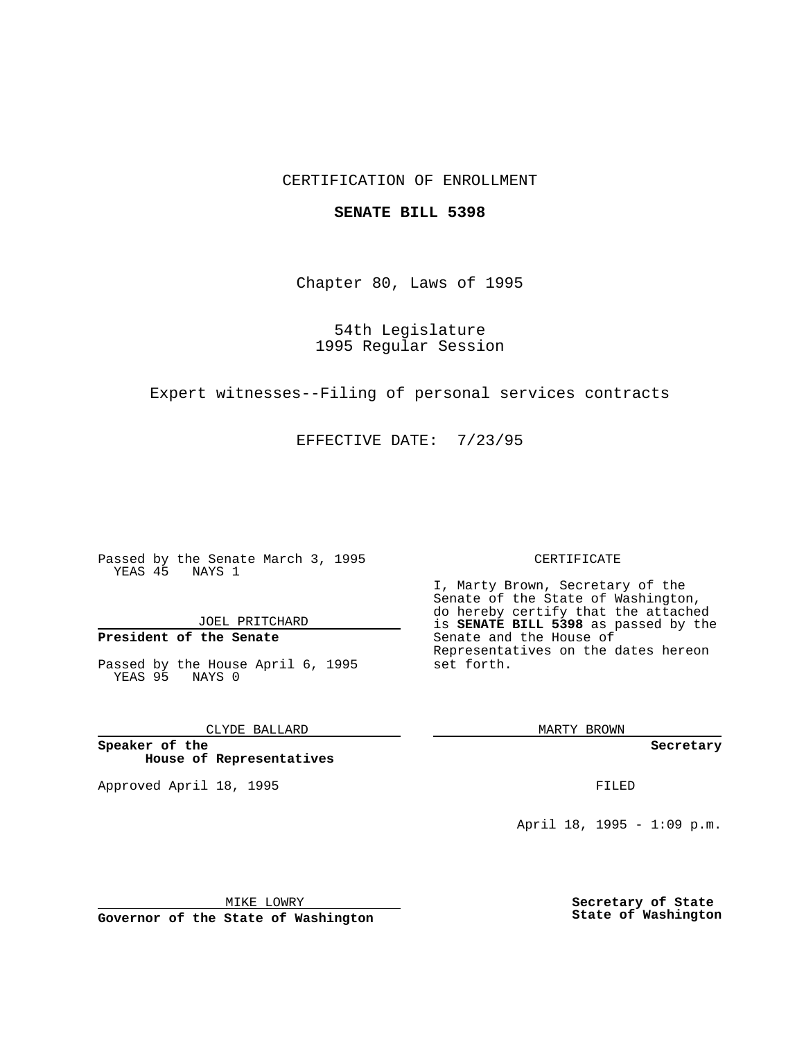### CERTIFICATION OF ENROLLMENT

### **SENATE BILL 5398**

Chapter 80, Laws of 1995

54th Legislature 1995 Regular Session

Expert witnesses--Filing of personal services contracts

EFFECTIVE DATE: 7/23/95

Passed by the Senate March 3, 1995 YEAS 45 NAYS 1

JOEL PRITCHARD

# **President of the Senate**

Passed by the House April 6, 1995 YEAS 95 NAYS 0

CLYDE BALLARD

**Speaker of the House of Representatives**

Approved April 18, 1995 FILED

#### CERTIFICATE

I, Marty Brown, Secretary of the Senate of the State of Washington, do hereby certify that the attached is **SENATE BILL 5398** as passed by the Senate and the House of Representatives on the dates hereon set forth.

MARTY BROWN

**Secretary**

April 18, 1995 - 1:09 p.m.

MIKE LOWRY **Governor of the State of Washington** **Secretary of State State of Washington**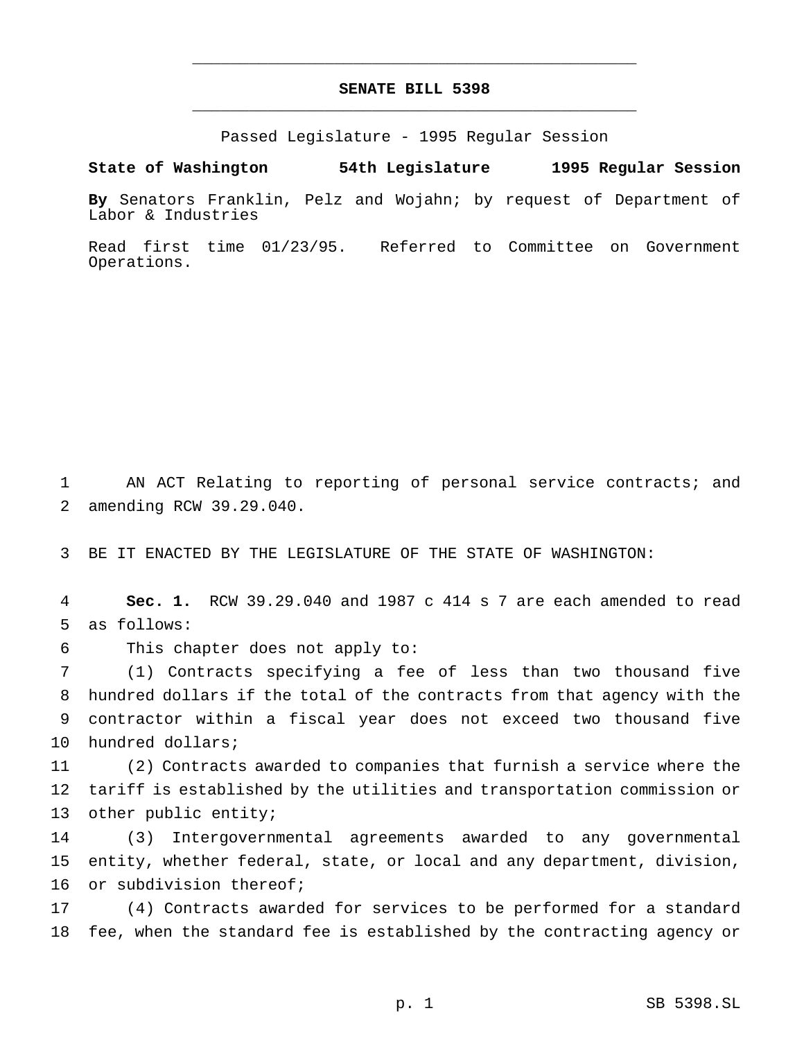# **SENATE BILL 5398** \_\_\_\_\_\_\_\_\_\_\_\_\_\_\_\_\_\_\_\_\_\_\_\_\_\_\_\_\_\_\_\_\_\_\_\_\_\_\_\_\_\_\_\_\_\_\_

\_\_\_\_\_\_\_\_\_\_\_\_\_\_\_\_\_\_\_\_\_\_\_\_\_\_\_\_\_\_\_\_\_\_\_\_\_\_\_\_\_\_\_\_\_\_\_

Passed Legislature - 1995 Regular Session

#### **State of Washington 54th Legislature 1995 Regular Session**

**By** Senators Franklin, Pelz and Wojahn; by request of Department of Labor & Industries

Read first time 01/23/95. Referred to Committee on Government Operations.

 AN ACT Relating to reporting of personal service contracts; and amending RCW 39.29.040.

BE IT ENACTED BY THE LEGISLATURE OF THE STATE OF WASHINGTON:

 **Sec. 1.** RCW 39.29.040 and 1987 c 414 s 7 are each amended to read as follows:

This chapter does not apply to:

 (1) Contracts specifying a fee of less than two thousand five hundred dollars if the total of the contracts from that agency with the contractor within a fiscal year does not exceed two thousand five hundred dollars;

 (2) Contracts awarded to companies that furnish a service where the tariff is established by the utilities and transportation commission or other public entity;

 (3) Intergovernmental agreements awarded to any governmental entity, whether federal, state, or local and any department, division, or subdivision thereof;

 (4) Contracts awarded for services to be performed for a standard fee, when the standard fee is established by the contracting agency or